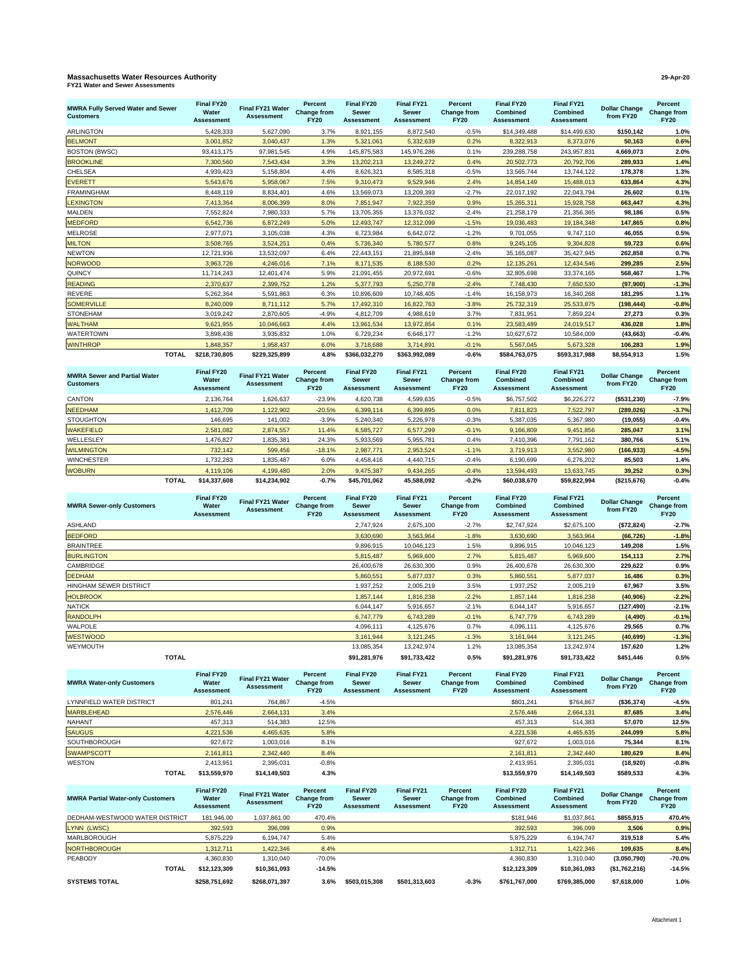## **Massachusetts Water Resources Authority 29-Apr-20 FY21 Water and Sewer Assessments**

| <b>MWRA Fully Served Water and Sewer</b><br><b>Customers</b> |              | Final FY20<br>Water<br><b>Assessment</b> | Final FY21 Water<br><b>Assessment</b> | Percent<br>Change from<br><b>FY20</b> | Final FY20<br><b>Sewer</b><br><b>Assessment</b> | Final FY21<br><b>Sewer</b><br><b>Assessment</b> | Percent<br>Change from<br><b>FY20</b> | Final FY20<br><b>Combined</b><br><b>Assessment</b> | Final FY21<br><b>Combined</b><br><b>Assessment</b> | <b>Dollar Change</b><br>from FY20 | Percent<br><b>Change from</b><br><b>FY20</b> |
|--------------------------------------------------------------|--------------|------------------------------------------|---------------------------------------|---------------------------------------|-------------------------------------------------|-------------------------------------------------|---------------------------------------|----------------------------------------------------|----------------------------------------------------|-----------------------------------|----------------------------------------------|
| <b>ARLINGTON</b>                                             |              | 5,428,333                                | 5,627,090                             | 3.7%                                  | 8,921,155                                       | 8.872.540                                       | $-0.5%$                               | \$14,349,488                                       | \$14,499,630                                       | \$150.142                         | 1.0%                                         |
| <b>BELMONT</b>                                               |              | 3,001,852                                | 3,040,437                             | 1.3%                                  | 5,321,061                                       | 5,332,639                                       | 0.2%                                  | 8,322,913                                          | 8,373,076                                          | 50,163                            | 0.6%                                         |
| <b>BOSTON (BWSC)</b>                                         |              | 93,413,175                               | 97,981,545                            | 4.9%                                  | 145,875,583                                     | 145,976,286                                     | 0.1%                                  | 239,288,758                                        | 243,957,831                                        | 4,669,073                         | 2.0%                                         |
| <b>BROOKLINE</b>                                             |              | 7,300,560                                | 7,543,434                             | 3.3%                                  | 13,202,213                                      | 13,249,272                                      | 0.4%                                  | 20,502,773                                         | 20,792,706                                         | 289,933                           | 1.4%                                         |
| <b>CHELSEA</b>                                               |              | 4,939,423                                | 5,158,804                             | 4.4%                                  | 8,626,321                                       | 8,585,318                                       | $-0.5%$                               | 13,565,744                                         | 13,744,122                                         | 178,378                           | 1.3%                                         |
| <b>EVERETT</b>                                               |              | 5,543,676                                | 5,958,067                             | 7.5%                                  | 9,310,473                                       | 9,529,946                                       | 2.4%                                  | 14,854,149                                         | 15,488,013                                         | 633,864                           | 4.3%                                         |
| <b>FRAMINGHAM</b>                                            |              | 8,448,119                                | 8,834,401                             | 4.6%                                  | 13,569,073                                      | 13,209,393                                      | $-2.7%$                               | 22,017,192                                         | 22,043,794                                         | 26,602                            | 0.1%                                         |
| <b>LEXINGTON</b>                                             |              | 7,413,364                                | 8,006,399                             | 8.0%                                  | 7,851,947                                       | 7,922,359                                       | 0.9%                                  | 15,265,311                                         | 15,928,758                                         | 663,447                           | 4.3%                                         |
| <b>MALDEN</b>                                                |              | 7,552,824                                | 7,980,333                             | 5.7%                                  | 13,705,355                                      | 13,376,032                                      | $-2.4%$                               | 21,258,179                                         | 21,356,365                                         | 98.186                            | 0.5%                                         |
| <b>MEDFORD</b>                                               |              | 6,542,736                                | 6,872,249                             | 5.0%                                  | 12,493,747                                      | 12,312,099                                      | $-1.5%$                               | 19,036,483                                         | 19,184,348                                         | 147,865                           | 0.8%                                         |
| <b>MELROSE</b>                                               |              | 2,977,071                                | 3,105,038                             | 4.3%                                  | 6,723,984                                       | 6,642,072                                       | $-1.2%$                               | 9,701,055                                          | 9,747,110                                          | 46,055                            | 0.5%                                         |
| <b>MILTON</b>                                                |              | 3,508,765                                | 3,524,251                             | 0.4%                                  | 5,736,340                                       | 5,780,577                                       | 0.8%                                  | 9,245,105                                          | 9,304,828                                          | 59.723                            | 0.6%                                         |
| <b>NEWTON</b>                                                |              | 12,721,936                               | 13,532,097                            | 6.4%                                  | 22,443,151                                      | 21,895,848                                      | $-2.4%$                               | 35,165,087                                         | 35,427,945                                         | 262,858                           | 0.7%                                         |
| <b>NORWOOD</b>                                               |              | 3,963,726                                | 4,246,016                             | 7.1%                                  | 8,171,535                                       | 8,188,530                                       | 0.2%                                  | 12, 135, 261                                       | 12,434,546                                         | 299.285                           | 2.5%                                         |
| QUINCY                                                       |              | 11,714,243                               | 12,401,474                            | 5.9%                                  | 21,091,455                                      | 20,972,691                                      | $-0.6%$                               | 32,805,698                                         | 33,374,165                                         | 568.467                           | 1.7%                                         |
| <b>READING</b>                                               |              | 2,370,637                                | 2,399,752                             | 1.2%                                  | 5,377,793                                       | 5,250,778                                       | $-2.4%$                               | 7,748,430                                          | 7,650,530                                          | (97,900)                          | $-1.3%$                                      |
| <b>REVERE</b>                                                |              | 5,262,364                                | 5,591,863                             | 6.3%                                  | 10,896,609                                      | 10,748,405                                      | $-1.4%$                               | 16,158,973                                         | 16,340,268                                         | 181,295                           | 1.1%                                         |
| <b>SOMERVILLE</b>                                            |              | 8,240,009                                | 8,711,112                             | 5.7%                                  | 17,492,310                                      | 16,822,763                                      | $-3.8%$                               | 25,732,319                                         | 25,533,875                                         | (198, 444)                        | $-0.8%$                                      |
| <b>STONEHAM</b>                                              |              | 3,019,242                                | 2,870,605                             | $-4.9%$                               | 4,812,709                                       | 4,988,619                                       | 3.7%                                  | 7,831,951                                          | 7,859,224                                          | 27,273                            | 0.3%                                         |
| <b>WALTHAM</b>                                               |              | 9,621,955                                | 10,046,663                            | 4.4%                                  | 13,961,534                                      | 13,972,854                                      | 0.1%                                  | 23,583,489                                         | 24,019,517                                         | 436.028                           | 1.8%                                         |
| <b>WATERTOWN</b>                                             |              | 3,898,438                                | 3,935,832                             | 1.0%                                  | 6,729,234                                       | 6,648,177                                       | $-1.2%$                               | 10,627,672                                         | 10,584,009                                         | (43, 663)                         | $-0.4%$                                      |
| <b>WINTHROP</b>                                              |              | 1,848,357                                | 1,958,437                             | 6.0%                                  | 3,718,688                                       | 3,714,891                                       | $-0.1%$                               | 5,567,045                                          | 5,673,328                                          | 106,283                           | 1.9%                                         |
|                                                              | <b>TOTAL</b> | \$218,730,805                            | \$229,325,899                         | 4.8%                                  | \$366,032,270                                   | \$363,992,089                                   | $-0.6%$                               | \$584,763,075                                      | \$593,317,988                                      | \$8,554,913                       | 1.5%                                         |

| <b>MWRA Sewer and Partial Water</b><br><b>Customers</b> |              | Final FY20<br>Water<br><b>Assessment</b> | Final FY21 Water<br>Assessment | Percent<br>Change from<br><b>FY20</b> | Final FY20<br><b>Sewer</b><br><b>Assessment</b> | Final FY21<br><b>Sewer</b><br><b>Assessment</b> | Percent<br>Change from<br><b>FY20</b> | Final FY20<br><b>Combined</b><br>Assessment | Final FY21<br><b>Combined</b><br><b>Assessment</b> | <b>Dollar Change</b><br>from FY20 | Percent<br>Change from<br><b>FY20</b> |
|---------------------------------------------------------|--------------|------------------------------------------|--------------------------------|---------------------------------------|-------------------------------------------------|-------------------------------------------------|---------------------------------------|---------------------------------------------|----------------------------------------------------|-----------------------------------|---------------------------------------|
| <b>CANTON</b>                                           |              | 2.136.764                                | 1.626.637                      | $-23.9%$                              | 4.620.738                                       | 4.599.635                                       | $-0.5%$                               | \$6,757,502                                 | \$6,226,272                                        | (\$531,230)                       | $-7.9%$                               |
| <b>NEEDHAM</b>                                          |              | 1.412.709                                | 1.122.902                      | $-20.5%$                              | 6.399.114                                       | 6.399.895                                       | 0.0%                                  | 7.811.823                                   | 7.522.797                                          | (289.026)                         | $-3.7%$                               |
| <b>STOUGHTON</b>                                        |              | 146.695                                  | 141,002                        | $-3.9%$                               | 5.240.340                                       | 5.226.978                                       | $-0.3%$                               | 5,387,035                                   | 5,367,980                                          | (19, 055)                         | $-0.4%$                               |
| <b>WAKEFIELD</b>                                        |              | 2.581.082                                | 2.874.557                      | 11.4%                                 | 6.585.727                                       | 6.577.299                                       | $-0.1%$                               | 9,166,809                                   | 9,451,856                                          | 285.047                           | 3.1%                                  |
| WELLESLEY                                               |              | 1.476.827                                | 1,835,381                      | 24.3%                                 | 5,933,569                                       | 5,955,781                                       | 0.4%                                  | 7.410.396                                   | 7,791,162                                          | 380,766                           | 5.1%                                  |
| <b>WILMINGTON</b>                                       |              | 732.142                                  | 599,456                        | $-18.1%$                              | 2.987.771                                       | 2,953,524                                       | $-1.1%$                               | 3,719,913                                   | 3,552,980                                          | (166, 933)                        | $-4.5%$                               |
| <b>WINCHESTER</b>                                       |              | 1,732,283                                | 1.835.487                      | 6.0%                                  | 4.458.416                                       | 4.440.715                                       | $-0.4%$                               | 6,190,699                                   | 6,276,202                                          | 85.503                            | 1.4%                                  |
| <b>WOBURN</b>                                           |              | 4.119.106                                | 4.199.480                      | 2.0%                                  | 9.475.387                                       | 9.434.265                                       | $-0.4%$                               | 13.594.493                                  | 13.633.745                                         | 39,252                            | 0.3%                                  |
|                                                         | <b>TOTAL</b> | \$14.337.608                             | \$14.234.902                   | $-0.7%$                               | \$45.701.062                                    | 45.588.092                                      | $-0.2%$                               | \$60.038.670                                | \$59,822,994                                       | (\$215,676)                       | $-0.4%$                               |

| <b>MWRA Sewer-only Customers</b> | Final FY20<br>Water<br><b>Assessment</b> | Final FY21 Water<br><b>Assessment</b> | Percent<br>Change from<br><b>FY20</b> | Final FY20<br><b>Sewer</b><br>Assessment | Final FY21<br><b>Sewer</b><br><b>Assessment</b> | Percent<br>Change from<br><b>FY20</b> | Final FY20<br><b>Combined</b><br><b>Assessment</b> | Final FY21<br><b>Combined</b><br><b>Assessment</b> | <b>Dollar Change</b><br>from FY20 | Percent<br>Change from<br><b>FY20</b> |
|----------------------------------|------------------------------------------|---------------------------------------|---------------------------------------|------------------------------------------|-------------------------------------------------|---------------------------------------|----------------------------------------------------|----------------------------------------------------|-----------------------------------|---------------------------------------|
| <b>ASHLAND</b>                   |                                          |                                       |                                       | 2,747,924                                | 2,675,100                                       | $-2.7%$                               | \$2,747,924                                        | \$2,675,100                                        | (\$72,824)                        | $-2.7%$                               |
| <b>BEDFORD</b>                   |                                          |                                       |                                       | 3,630,690                                | 3,563,964                                       | $-1.8%$                               | 3,630,690                                          | 3,563,964                                          | (66, 726)                         | $-1.8%$                               |
| <b>BRAINTREE</b>                 |                                          |                                       |                                       | 9,896,915                                | 10,046,123                                      | 1.5%                                  | 9,896,915                                          | 10,046,123                                         | 149,208                           | 1.5%                                  |
| <b>BURLINGTON</b>                |                                          |                                       |                                       | 5,815,487                                | 5,969,600                                       | 2.7%                                  | 5,815,487                                          | 5,969,600                                          | 154,113                           | 2.7%                                  |
| CAMBRIDGE                        |                                          |                                       |                                       | 26,400,678                               | 26,630,300                                      | 0.9%                                  | 26,400,678                                         | 26,630,300                                         | 229,622                           | 0.9%                                  |
| <b>DEDHAM</b>                    |                                          |                                       |                                       | 5,860,551                                | 5,877,037                                       | 0.3%                                  | 5,860,551                                          | 5,877,037                                          | 16,486                            | 0.3%                                  |
| <b>HINGHAM SEWER DISTRICT</b>    |                                          |                                       |                                       | 1,937,252                                | 2,005,219                                       | 3.5%                                  | 1,937,252                                          | 2,005,219                                          | 67,967                            | 3.5%                                  |
| <b>HOLBROOK</b>                  |                                          |                                       |                                       | 1,857,144                                | 1,816,238                                       | $-2.2%$                               | 1,857,144                                          | 1,816,238                                          | (40, 906)                         | $-2.2%$                               |
| <b>NATICK</b>                    |                                          |                                       |                                       | 6,044,147                                | 5,916,657                                       | $-2.1%$                               | 6,044,147                                          | 5,916,657                                          | (127, 490)                        | $-2.1%$                               |
| <b>RANDOLPH</b>                  |                                          |                                       |                                       | 6,747,779                                | 6,743,289                                       | $-0.1%$                               | 6,747,779                                          | 6,743,289                                          | (4, 490)                          | $-0.1%$                               |
| WALPOLE                          |                                          |                                       |                                       | 4,096,111                                | 4,125,676                                       | 0.7%                                  | 4,096,111                                          | 4,125,676                                          | 29,565                            | 0.7%                                  |
| <b>WESTWOOD</b>                  |                                          |                                       |                                       | 3,161,944                                | 3,121,245                                       | $-1.3%$                               | 3,161,944                                          | 3,121,245                                          | (40, 699)                         | $-1.3%$                               |
| WEYMOUTH                         |                                          |                                       |                                       | 13,085,354                               | 13,242,974                                      | 1.2%                                  | 13,085,354                                         | 13,242,974                                         | 157,620                           | 1.2%                                  |
|                                  | <b>TOTAL</b>                             |                                       |                                       | \$91.281.976                             | \$91,733,422                                    | 0.5%                                  | \$91.281.976                                       | \$91,733,422                                       | \$451.446                         | 0.5%                                  |

| <b>MWRA Water-only Customers</b> |              | Final FY20<br>Water<br><b>Assessment</b> | Final FY21 Water<br><b>Assessment</b> | Percent<br>Change from<br><b>FY20</b> | Final FY20<br><b>Sewer</b><br><b>Assessment</b> | Final FY21<br><b>Sewer</b><br><b>Assessment</b> | Percent<br><b>Change from</b><br><b>FY20</b> | Final FY20<br><b>Combined</b><br><b>Assessment</b> | Final FY21<br><b>Combined</b><br><b>Assessment</b> | <b>Dollar Change</b><br>from FY20 | Percent<br>Change from<br><b>FY20</b> |
|----------------------------------|--------------|------------------------------------------|---------------------------------------|---------------------------------------|-------------------------------------------------|-------------------------------------------------|----------------------------------------------|----------------------------------------------------|----------------------------------------------------|-----------------------------------|---------------------------------------|
| LYNNFIELD WATER DISTRICT         |              | 801.241                                  | 764.867                               | $-4.5%$                               |                                                 |                                                 |                                              | \$801.241                                          | \$764,867                                          | (\$36,374)                        | $-4.5%$                               |
| <b>MARBLEHEAD</b>                |              | 2,576,446                                | 2,664,131                             | 3.4%                                  |                                                 |                                                 |                                              | 2,576,446                                          | 2,664,131                                          | 87,685                            | 3.4%                                  |
| <b>NAHANT</b>                    |              | 457,313                                  | 514,383                               | 12.5%                                 |                                                 |                                                 |                                              | 457,313                                            | 514,383                                            | 57,070                            | 12.5%                                 |
| <b>SAUGUS</b>                    |              | 4,221,536                                | 4,465,635                             | 5.8%                                  |                                                 |                                                 |                                              | 4,221,536                                          | 4,465,635                                          | 244.099                           | 5.8%                                  |
| SOUTHBOROUGH                     |              | 927.672                                  | 1,003,016                             | 8.1%                                  |                                                 |                                                 |                                              | 927.672                                            | 1,003,016                                          | 75,344                            | 8.1%                                  |
| <b>SWAMPSCOTT</b>                |              | 2,161,811                                | 2,342,440                             | 8.4%                                  |                                                 |                                                 |                                              | 2,161,811                                          | 2,342,440                                          | 180,629                           | 8.4%                                  |
| <b>WESTON</b>                    |              | 2,413,951                                | 2,395,031                             | $-0.8%$                               |                                                 |                                                 |                                              | 2,413,951                                          | 2,395,031                                          | (18,920)                          | $-0.8%$                               |
|                                  | <b>TOTAL</b> | \$13,559,970                             | \$14.149.503                          | 4.3%                                  |                                                 |                                                 |                                              | \$13,559,970                                       | \$14.149.503                                       | \$589,533                         | 4.3%                                  |

| <b>MWRA Partial Water-only Customers</b> | Final FY20<br>Water<br><b>Assessment</b> | Final FY21 Water<br><b>Assessment</b> | Percent<br>Change from<br><b>FY20</b> | Final FY20<br><b>Sewer</b><br><b>Assessment</b> | Final FY21<br><b>Sewer</b><br><b>Assessment</b> | Percent<br>Change from<br><b>FY20</b> | Final FY20<br><b>Combined</b><br><b>Assessment</b> | Final FY21<br><b>Combined</b><br><b>Assessment</b> | <b>Dollar Change</b><br>from FY20 | Percent<br>Change from<br><b>FY20</b> |
|------------------------------------------|------------------------------------------|---------------------------------------|---------------------------------------|-------------------------------------------------|-------------------------------------------------|---------------------------------------|----------------------------------------------------|----------------------------------------------------|-----------------------------------|---------------------------------------|
| DEDHAM-WESTWOOD WATER DISTRICT           | 181.946.00                               | 1,037,861.00                          | 470.4%                                |                                                 |                                                 |                                       | \$181,946                                          | \$1,037,861                                        | \$855,915                         | 470.4%                                |
| LYNN (LWSC)                              | 392.593                                  | 396.099                               | 0.9%                                  |                                                 |                                                 |                                       | 392,593                                            | 396,099                                            | 3,506                             | 0.9%                                  |
| MARLBOROUGH                              | 5,875,229                                | 6,194,747                             | 5.4%                                  |                                                 |                                                 |                                       | 5,875,229                                          | 6,194,747                                          | 319,518                           | 5.4%                                  |
| <b>NORTHBOROUGH</b>                      | 1.312.711                                | 1,422,346                             | 8.4%                                  |                                                 |                                                 |                                       | 1,312,711                                          | 1,422,346                                          | 109,635                           | 8.4%                                  |
| PEABODY                                  | 4.360.830                                | 1.310.040                             | $-70.0%$                              |                                                 |                                                 |                                       | 4,360,830                                          | 1.310.040                                          | (3,050,790)                       | $-70.0%$                              |
| <b>TOTAL</b>                             | \$12,123,309                             | \$10.361.093                          | $-14.5%$                              |                                                 |                                                 |                                       | \$12.123.309                                       | \$10.361.093                                       | (\$1,762,216)                     | $-14.5%$                              |
| <b>SYSTEMS TOTAL</b>                     | \$258.751.692                            | \$268.071.397                         | 3.6%                                  | \$503.015.308                                   | \$501.313.603                                   | $-0.3%$                               | \$761.767.000                                      | \$769.385.000                                      | \$7.618.000                       | 1.0%                                  |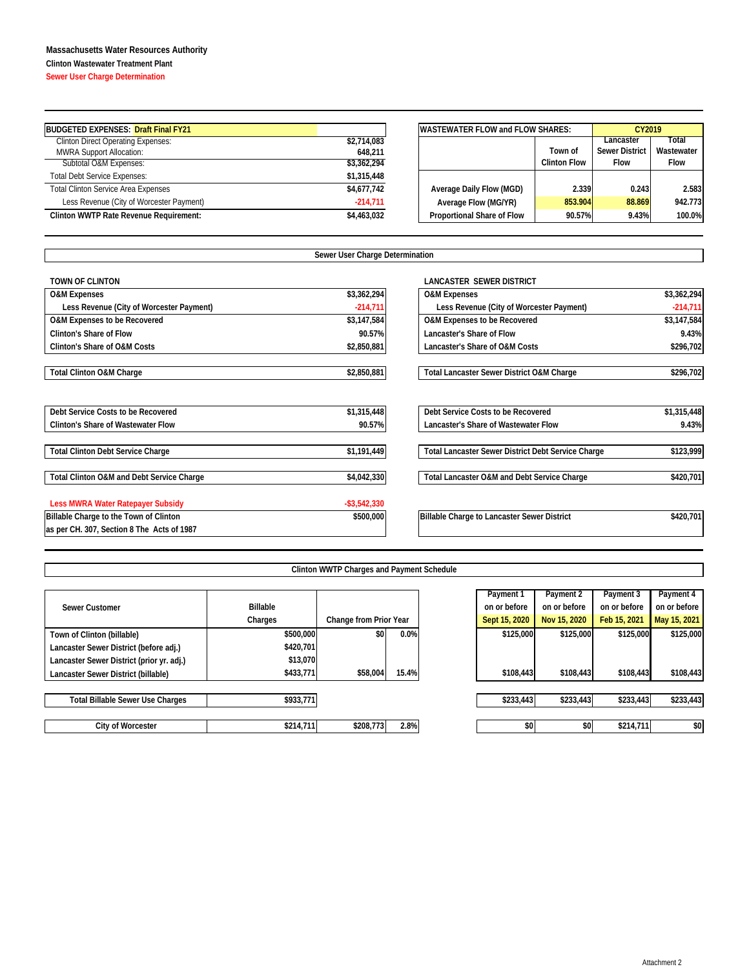## **Massachusetts Water Resources Authority**

**Clinton Wastewater Treatment Plant**

**Sewer User Charge Determination**

| <b>BUDGETED EXPENSES: Draft Final FY21</b> |             |                                   | <b>IWASTEWATER FLOW and FLOW SHARES:</b> |                       |             |
|--------------------------------------------|-------------|-----------------------------------|------------------------------------------|-----------------------|-------------|
| <b>Clinton Direct Operating Expenses:</b>  | \$2,714,083 |                                   |                                          | Lancaster             | Total       |
| <b>MWRA Support Allocation:</b>            | 648.211     |                                   | Town of                                  | <b>Sewer District</b> | Wastewater  |
| Subtotal O&M Expenses:                     | \$3,362,294 |                                   | <b>Clinton Flow</b>                      | <b>Flow</b>           | <b>Flow</b> |
| <b>Total Debt Service Expenses:</b>        | \$1,315,448 |                                   |                                          |                       |             |
| <b>Total Clinton Service Area Expenses</b> | \$4,677,742 | Average Daily Flow (MGD)          | 2.339                                    | 0.243                 | 2.583       |
| Less Revenue (City of Worcester Payment)   | $-214,711$  | Average Flow (MG/YR)              | 853.904                                  | 88.869                | 942.773     |
| Clinton WWTP Rate Revenue Requirement:     | \$4,463,032 | <b>Proportional Share of Flow</b> | 90.57%                                   | 9.43%                 | 100.0%      |

| <b>WASTEWATER FLOW and FLOW SHARES:</b> | CY2019      |                       |            |  |
|-----------------------------------------|-------------|-----------------------|------------|--|
|                                         |             | Lancaster             | Total      |  |
|                                         | Town of     | <b>Sewer District</b> | Wastewater |  |
|                                         | <b>Flow</b> | <b>Flow</b>           |            |  |
|                                         |             |                       |            |  |
| Average Daily Flow (MGD)                | 2.339       | 0.243                 | 2.583      |  |
| Average Flow (MG/YR)                    | 853.904     | 88.869                | 942.773    |  |
| Proportional Share of Flow              | 90.57%      | 9.43%                 | 100.0%     |  |

|                                            | Sewer User Charge Determination |                                                      |             |
|--------------------------------------------|---------------------------------|------------------------------------------------------|-------------|
| <b>TOWN OF CLINTON</b>                     |                                 | <b>LANCASTER SEWER DISTRICT</b>                      |             |
| <b>O&amp;M Expenses</b>                    | \$3,362,294                     | <b>O&amp;M Expenses</b>                              | \$3,362,294 |
| Less Revenue (City of Worcester Payment)   | $-214,711$                      | Less Revenue (City of Worcester Payment)             | $-214,711$  |
| O&M Expenses to be Recovered               | \$3,147,584                     | O&M Expenses to be Recovered                         | \$3,147,584 |
| Clinton's Share of Flow                    | 90.57%                          | Lancaster's Share of Flow                            | 9.43%       |
| Clinton's Share of O&M Costs               | \$2,850,881                     | Lancaster's Share of O&M Costs                       | \$296,702   |
| <b>Total Clinton O&amp;M Charge</b>        | \$2,850,881                     | <b>Total Lancaster Sewer District O&amp;M Charge</b> | \$296,702   |
| Debt Service Costs to be Recovered         | \$1,315,448                     | Debt Service Costs to be Recovered                   | \$1,315,448 |
| <b>Clinton's Share of Wastewater Flow</b>  | 90.57%                          | Lancaster's Share of Wastewater Flow                 | 9.43%       |
| <b>Total Clinton Debt Service Charge</b>   | \$1,191,449                     | Total Lancaster Sewer District Debt Service Charge   | \$123,999   |
| Total Clinton O&M and Debt Service Charge  | \$4,042,330                     | Total Lancaster O&M and Debt Service Charge          | \$420,701   |
| Less MWRA Water Ratepayer Subsidy          | $-$ \$3,542,330                 |                                                      |             |
| Billable Charge to the Town of Clinton     | \$500,000                       | Billable Charge to Lancaster Sewer District          | \$420,701   |
| as per CH. 307, Section 8 The Acts of 1987 |                                 |                                                      |             |

| <b>Clinton WWTP Charges and Payment Schedule</b> |  |
|--------------------------------------------------|--|

|                 |           |                                     | Payment 1             | Payment 2    | Payment 3    | Payment 4                                               |
|-----------------|-----------|-------------------------------------|-----------------------|--------------|--------------|---------------------------------------------------------|
| <b>Billable</b> |           |                                     | on or before          | on or before | on or before | on or before                                            |
| Charges         |           |                                     | Sept 15, 2020         | Nov 15, 2020 | Feb 15, 2021 | May 15, 2021                                            |
| \$500,000       | \$0       |                                     | \$125,000             |              | \$125,000    | \$125,000                                               |
| \$420,701       |           |                                     |                       |              |              |                                                         |
| \$13,070        |           |                                     |                       |              |              |                                                         |
| \$433,771       | \$58,004  |                                     | \$108,443             |              | \$108,443    | \$108,443                                               |
|                 |           |                                     |                       |              |              |                                                         |
|                 |           |                                     |                       |              |              | \$233,443                                               |
| \$214,711       |           |                                     | \$0                   |              | \$214,711    | \$0                                                     |
|                 | \$933,771 | Change from Prior Year<br>\$208,773 | 0.0%<br>15.4%<br>2.8% |              | \$233,443    | \$125,000<br>\$108,443<br>\$233,443<br>\$233,443<br>\$0 |

|                 |           |                        |       | Payment 1     | Payment 2    | Payment 3    | Payment 4    |
|-----------------|-----------|------------------------|-------|---------------|--------------|--------------|--------------|
| <b>Billable</b> |           |                        |       | on or before  | on or before | on or before | on or before |
| Charges         |           | Change from Prior Year |       | Sept 15, 2020 | Nov 15, 2020 | Feb 15, 2021 | May 15, 2021 |
|                 | \$500,000 | \$0                    | 0.0%  | \$125,000     | \$125,000    | \$125,000    | \$125,000    |
|                 | \$420,701 |                        |       |               |              |              |              |
|                 | \$13,070  |                        |       |               |              |              |              |
|                 | \$433,771 | \$58,004               | 15.4% | \$108,443     | \$108,443    | \$108,443    | \$108,443    |
|                 |           |                        |       |               |              |              |              |
|                 | \$933,771 |                        |       | \$233,443     | \$233,443    | \$233,443    | \$233,443    |
|                 |           |                        |       |               |              |              |              |
|                 | \$214,711 | \$208,773              | 2.8%  | \$0           | \$0          | \$214,711    | \$0          |
|                 |           |                        |       |               |              |              |              |